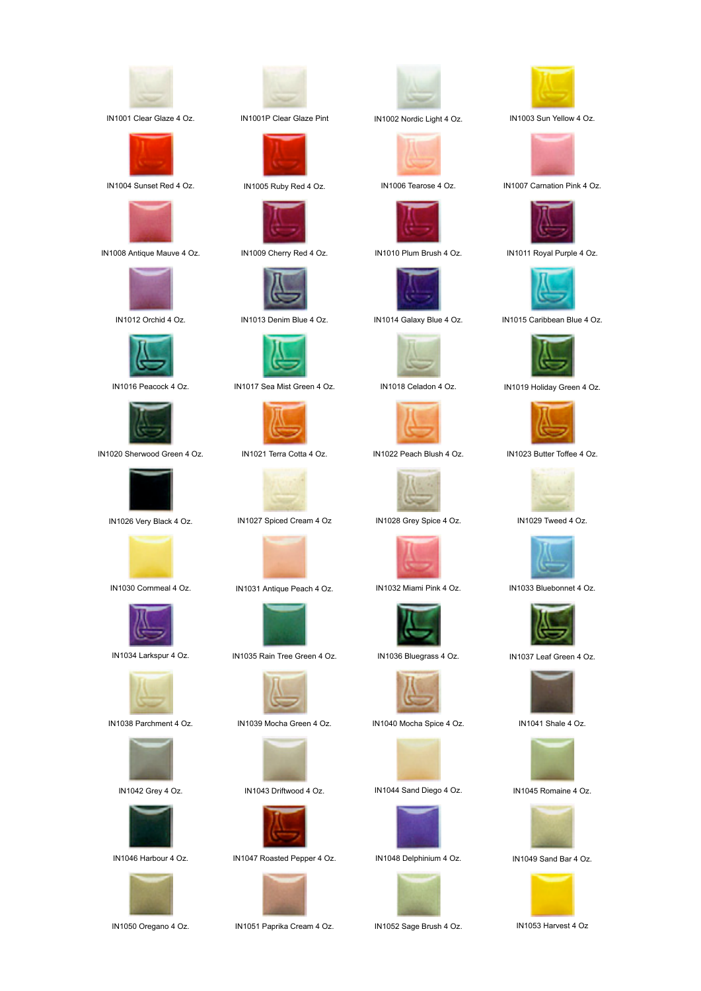

IN1001 Clear Glaze 4 Oz. IN1001P Clear Glaze Pint IN1002 Nordic Light 4 Oz. IN1003 Sun Yellow 4 Oz.











IN1020 Sherwood Green 4 Oz. IN1021 Terra Cotta 4 Oz. IN1022 Peach Blush 4 Oz. IN1023 Butter Toffee 4 Oz.

























IN1016 Peacock 4 Oz. IN1017 Sea Mist Green 4 Oz. IN1018 Celadon 4 Oz. IN1019 Holiday Green 4 Oz.





IN1026 Very Black 4 Oz. IN1027 Spiced Cream 4 Oz IN1028 Grey Spice 4 Oz. IN1029 Tweed 4 Oz.



IN1030 Cornmeal 4 Oz. IN1031 Antique Peach 4 Oz. IN1032 Miami Pink 4 Oz. IN1033 Bluebonnet 4 Oz.



IN1034 Larkspur 4 Oz. IN1035 Rain Tree Green 4 Oz. IN1036 Bluegrass 4 Oz. IN1037 Leaf Green 4 Oz.







IN1046 Harbour 4 Oz. IN1047 Roasted Pepper 4 Oz. IN1048 Delphinium 4 Oz. IN1049 Sand Bar 4 Oz.



IN1050 Oregano 4 Oz. IN1051 Paprika Cream 4 Oz. IN1052 Sage Brush 4 Oz. IN1053 Harvest 4 Oz





















IN1038 Parchment 4 Oz. IN1039 Mocha Green 4 Oz. IN1040 Mocha Spice 4 Oz. IN1041 Shale 4 Oz.











IN1004 Sunset Red 4 Oz. IN1005 Ruby Red 4 Oz. IN1006 Tearose 4 Oz. IN1007 Carnation Pink 4 Oz.



IN1008 Antique Mauve 4 Oz. IN1009 Cherry Red 4 Oz. IN1010 Plum Brush 4 Oz. IN1011 Royal Purple 4 Oz.



IN1012 Orchid 4 Oz. IN1013 Denim Blue 4 Oz. IN1014 Galaxy Blue 4 Oz. IN1015 Caribbean Blue 4 Oz.















IN1042 Grey 4 Oz. IN1043 Driftwood 4 Oz. IN1044 Sand Diego 4 Oz. IN1045 Romaine 4 Oz.